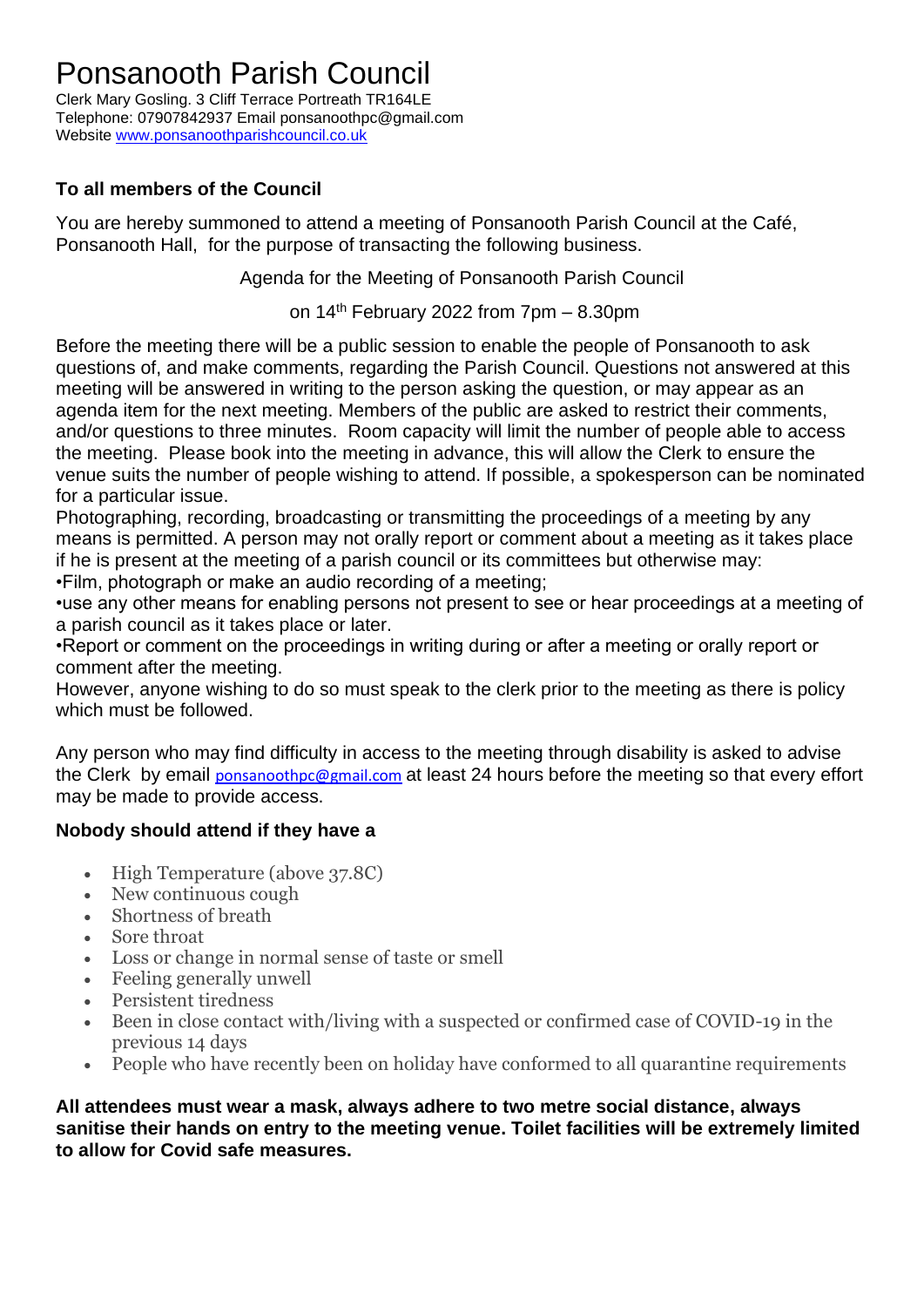## Ponsanooth Parish Council

Clerk Mary Gosling. 3 Cliff Terrace Portreath TR164LE Telephone: 07907842937 Email ponsanoothpc@gmail.com Website [www.ponsanoothparishcouncil.co.uk](http://www.ponsanoothparishcouncil.co.uk/)

### **To all members of the Council**

You are hereby summoned to attend a meeting of Ponsanooth Parish Council at the Café, Ponsanooth Hall, for the purpose of transacting the following business.

Agenda for the Meeting of Ponsanooth Parish Council

on 14<sup>th</sup> February 2022 from 7pm - 8.30pm

Before the meeting there will be a public session to enable the people of Ponsanooth to ask questions of, and make comments, regarding the Parish Council. Questions not answered at this meeting will be answered in writing to the person asking the question, or may appear as an agenda item for the next meeting. Members of the public are asked to restrict their comments, and/or questions to three minutes. Room capacity will limit the number of people able to access the meeting. Please book into the meeting in advance, this will allow the Clerk to ensure the venue suits the number of people wishing to attend. If possible, a spokesperson can be nominated for a particular issue.

Photographing, recording, broadcasting or transmitting the proceedings of a meeting by any means is permitted. A person may not orally report or comment about a meeting as it takes place if he is present at the meeting of a parish council or its committees but otherwise may: •Film, photograph or make an audio recording of a meeting;

•use any other means for enabling persons not present to see or hear proceedings at a meeting of a parish council as it takes place or later.

•Report or comment on the proceedings in writing during or after a meeting or orally report or comment after the meeting.

However, anyone wishing to do so must speak to the clerk prior to the meeting as there is policy which must be followed.

Any person who may find difficulty in access to the meeting through disability is asked to advise the Clerk by email [ponsanoothpc@gmail.com](mailto:ponsanoothpc@gmail.com) at least 24 hours before the meeting so that every effort may be made to provide access.

#### **Nobody should attend if they have a**

- High Temperature (above 37.8C)
- New continuous cough
- Shortness of breath
- Sore throat
- Loss or change in normal sense of taste or smell
- Feeling generally unwell
- Persistent tiredness
- Been in close contact with/living with a suspected or confirmed case of COVID-19 in the previous 14 days
- People who have recently been on holiday have conformed to all quarantine requirements

**All attendees must wear a mask, always adhere to two metre social distance, always sanitise their hands on entry to the meeting venue. Toilet facilities will be extremely limited to allow for Covid safe measures.**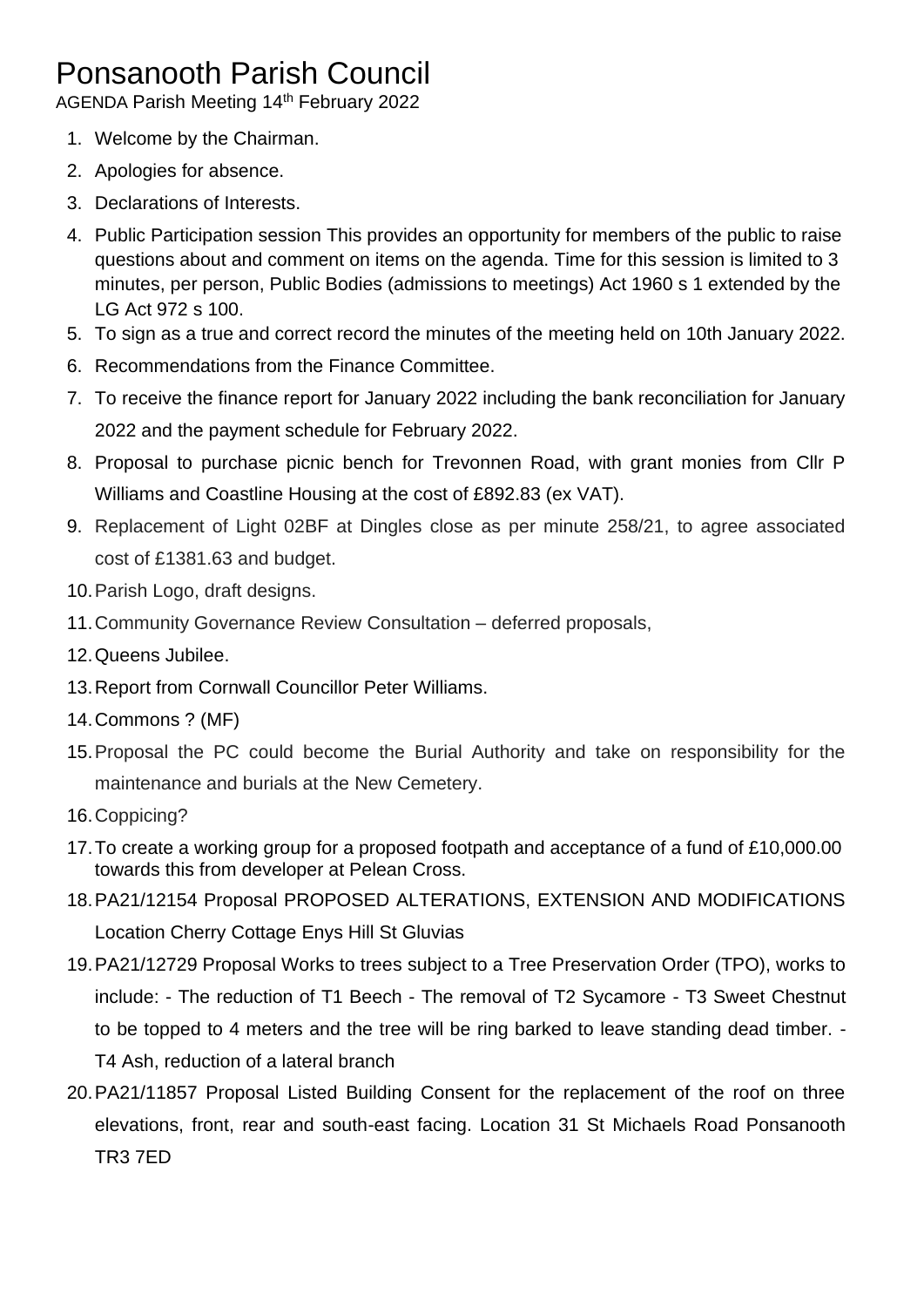# Ponsanooth Parish Council

AGENDA Parish Meeting 14<sup>th</sup> February 2022

- 1. Welcome by the Chairman.
- 2. Apologies for absence.
- 3. Declarations of Interests.
- 4. Public Participation session This provides an opportunity for members of the public to raise questions about and comment on items on the agenda. Time for this session is limited to 3 minutes, per person, Public Bodies (admissions to meetings) Act 1960 s 1 extended by the LG Act 972 s 100.
- 5. To sign as a true and correct record the minutes of the meeting held on 10th January 2022.
- 6. Recommendations from the Finance Committee.
- 7. To receive the finance report for January 2022 including the bank reconciliation for January 2022 and the payment schedule for February 2022.
- 8. Proposal to purchase picnic bench for Trevonnen Road, with grant monies from Cllr P Williams and Coastline Housing at the cost of £892.83 (ex VAT).
- 9. Replacement of Light 02BF at Dingles close as per minute 258/21, to agree associated cost of £1381.63 and budget.
- 10.Parish Logo, draft designs.
- 11.Community Governance Review Consultation deferred proposals,
- 12.Queens Jubilee.
- 13.Report from Cornwall Councillor Peter Williams.
- 14.Commons ? (MF)
- 15.Proposal the PC could become the Burial Authority and take on responsibility for the maintenance and burials at the New Cemetery.
- 16.Coppicing?
- 17.To create a working group for a proposed footpath and acceptance of a fund of £10,000.00 towards this from developer at Pelean Cross.
- 18.PA21/12154 Proposal PROPOSED ALTERATIONS, EXTENSION AND MODIFICATIONS Location Cherry Cottage Enys Hill St Gluvias
- 19.PA21/12729 Proposal Works to trees subject to a Tree Preservation Order (TPO), works to include: - The reduction of T1 Beech - The removal of T2 Sycamore - T3 Sweet Chestnut to be topped to 4 meters and the tree will be ring barked to leave standing dead timber. - T4 Ash, reduction of a lateral branch
- 20.PA21/11857 Proposal Listed Building Consent for the replacement of the roof on three elevations, front, rear and south-east facing. Location 31 St Michaels Road Ponsanooth TR3 7ED